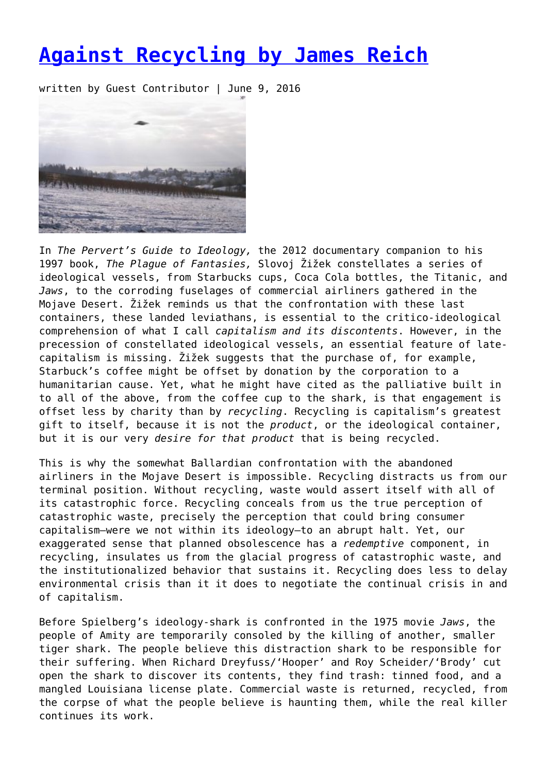## **[Against Recycling by James Reich](https://entropymag.org/against-recycling-by-james-reich/)**

written by Guest Contributor | June 9, 2016



In *The Pervert's Guide to Ideology,* the 2012 documentary companion to his 1997 book, *The Plague of Fantasies,* Slovoj Žižek constellates a series of ideological vessels, from Starbucks cups, Coca Cola bottles, the Titanic, and *Jaws*, to the corroding fuselages of commercial airliners gathered in the Mojave Desert. Žižek reminds us that the confrontation with these last containers, these landed leviathans, is essential to the critico-ideological comprehension of what I call *capitalism and its discontents*. However, in the precession of constellated ideological vessels, an essential feature of latecapitalism is missing. Žižek suggests that the purchase of, for example, Starbuck's coffee might be offset by donation by the corporation to a humanitarian cause. Yet, what he might have cited as the palliative built in to all of the above, from the coffee cup to the shark, is that engagement is offset less by charity than by *recycling*. Recycling is capitalism's greatest gift to itself, because it is not the *product*, or the ideological container, but it is our very *desire for that product* that is being recycled.

This is why the somewhat Ballardian confrontation with the abandoned airliners in the Mojave Desert is impossible. Recycling distracts us from our terminal position. Without recycling, waste would assert itself with all of its catastrophic force. Recycling conceals from us the true perception of catastrophic waste, precisely the perception that could bring consumer capitalism—were we not within its ideology—to an abrupt halt. Yet, our exaggerated sense that planned obsolescence has a *redemptive* component, in recycling, insulates us from the glacial progress of catastrophic waste, and the institutionalized behavior that sustains it. Recycling does less to delay environmental crisis than it it does to negotiate the continual crisis in and of capitalism.

Before Spielberg's ideology-shark is confronted in the 1975 movie *Jaws*, the people of Amity are temporarily consoled by the killing of another, smaller tiger shark. The people believe this distraction shark to be responsible for their suffering. When Richard Dreyfuss/'Hooper' and Roy Scheider/'Brody' cut open the shark to discover its contents, they find trash: tinned food, and a mangled Louisiana license plate. Commercial waste is returned, recycled, from the corpse of what the people believe is haunting them, while the real killer continues its work.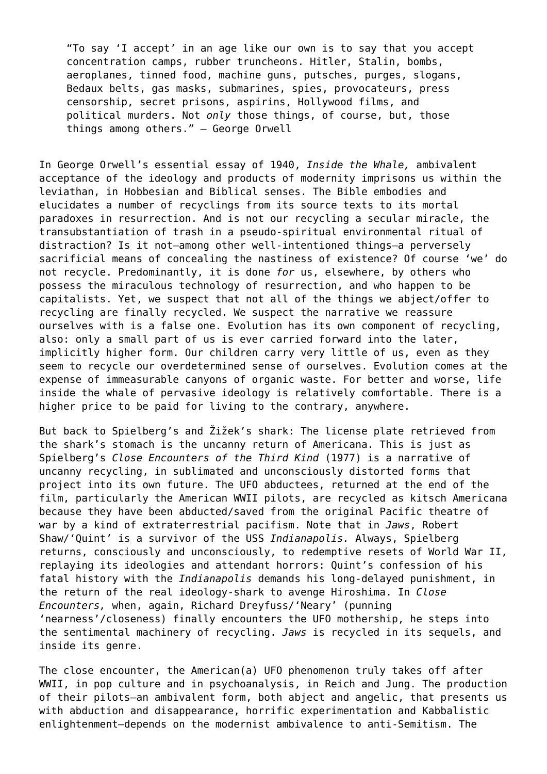"To say 'I accept' in an age like our own is to say that you accept concentration camps, rubber truncheons. Hitler, Stalin, bombs, aeroplanes, tinned food, machine guns, putsches, purges, slogans, Bedaux belts, gas masks, submarines, spies, provocateurs, press censorship, secret prisons, aspirins, Hollywood films, and political murders. Not *only* those things, of course, but, those things among others." – George Orwell

In George Orwell's essential essay of 1940, *Inside the Whale,* ambivalent acceptance of the ideology and products of modernity imprisons us within the leviathan, in Hobbesian and Biblical senses. The Bible embodies and elucidates a number of recyclings from its source texts to its mortal paradoxes in resurrection. And is not our recycling a secular miracle, the transubstantiation of trash in a pseudo-spiritual environmental ritual of distraction? Is it not—among other well-intentioned things—a perversely sacrificial means of concealing the nastiness of existence? Of course 'we' do not recycle. Predominantly, it is done *for* us, elsewhere, by others who possess the miraculous technology of resurrection, and who happen to be capitalists. Yet, we suspect that not all of the things we abject/offer to recycling are finally recycled. We suspect the narrative we reassure ourselves with is a false one. Evolution has its own component of recycling, also: only a small part of us is ever carried forward into the later, implicitly higher form. Our children carry very little of us, even as they seem to recycle our overdetermined sense of ourselves. Evolution comes at the expense of immeasurable canyons of organic waste. For better and worse, life inside the whale of pervasive ideology is relatively comfortable. There is a higher price to be paid for living to the contrary, anywhere.

But back to Spielberg's and Žižek's shark: The license plate retrieved from the shark's stomach is the uncanny return of Americana. This is just as Spielberg's *Close Encounters of the Third Kind* (1977) is a narrative of uncanny recycling, in sublimated and unconsciously distorted forms that project into its own future. The UFO abductees, returned at the end of the film, particularly the American WWII pilots, are recycled as kitsch Americana because they have been abducted/saved from the original Pacific theatre of war by a kind of extraterrestrial pacifism. Note that in *Jaws*, Robert Shaw/'Quint' is a survivor of the USS *Indianapolis.* Always, Spielberg returns, consciously and unconsciously, to redemptive resets of World War II, replaying its ideologies and attendant horrors: Quint's confession of his fatal history with the *Indianapolis* demands his long-delayed punishment, in the return of the real ideology-shark to avenge Hiroshima. In *Close Encounters,* when, again, Richard Dreyfuss/'Neary' (punning 'nearness'/closeness) finally encounters the UFO mothership, he steps into the sentimental machinery of recycling. *Jaws* is recycled in its sequels, and inside its genre.

The close encounter, the American(a) UFO phenomenon truly takes off after WWII, in pop culture and in psychoanalysis, in Reich and Jung. The production of their pilots—an ambivalent form, both abject and angelic, that presents us with abduction and disappearance, horrific experimentation and Kabbalistic enlightenment—depends on the modernist ambivalence to anti-Semitism. The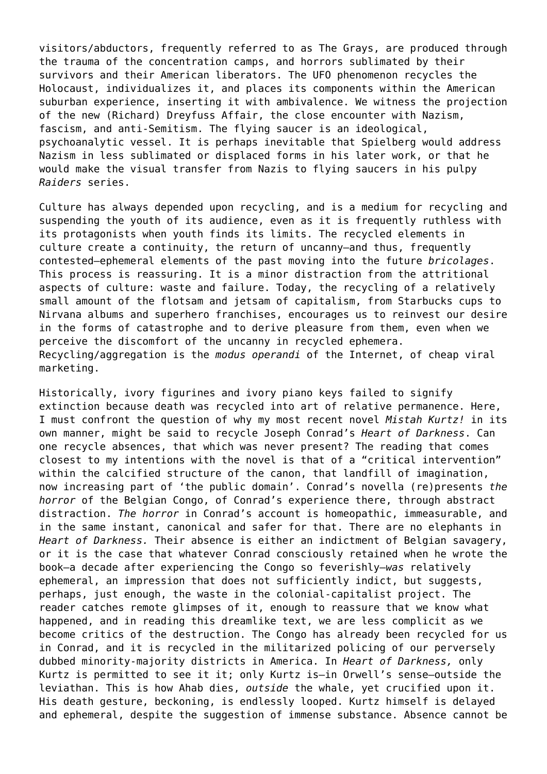visitors/abductors, frequently referred to as The Grays, are produced through the trauma of the concentration camps, and horrors sublimated by their survivors and their American liberators. The UFO phenomenon recycles the Holocaust, individualizes it, and places its components within the American suburban experience, inserting it with ambivalence. We witness the projection of the new (Richard) Dreyfuss Affair, the close encounter with Nazism, fascism, and anti-Semitism. The flying saucer is an ideological, psychoanalytic vessel. It is perhaps inevitable that Spielberg would address Nazism in less sublimated or displaced forms in his later work, or that he would make the visual transfer from Nazis to flying saucers in his pulpy *Raiders* series.

Culture has always depended upon recycling, and is a medium for recycling and suspending the youth of its audience, even as it is frequently ruthless with its protagonists when youth finds its limits. The recycled elements in culture create a continuity, the return of uncanny—and thus, frequently contested—ephemeral elements of the past moving into the future *bricolages*. This process is reassuring. It is a minor distraction from the attritional aspects of culture: waste and failure. Today, the recycling of a relatively small amount of the flotsam and jetsam of capitalism, from Starbucks cups to Nirvana albums and superhero franchises, encourages us to reinvest our desire in the forms of catastrophe and to derive pleasure from them, even when we perceive the discomfort of the uncanny in recycled ephemera. Recycling/aggregation is the *modus operandi* of the Internet, of cheap viral marketing.

Historically, ivory figurines and ivory piano keys failed to signify extinction because death was recycled into art of relative permanence. Here, I must confront the question of why my most recent novel *Mistah Kurtz!* in its own manner, might be said to recycle Joseph Conrad's *Heart of Darkness*. Can one recycle absences, that which was never present? The reading that comes closest to my intentions with the novel is that of a "critical intervention" within the calcified structure of the canon, that landfill of imagination, now increasing part of 'the public domain'. Conrad's novella (re)presents *the horror* of the Belgian Congo, of Conrad's experience there, through abstract distraction. *The horror* in Conrad's account is homeopathic, immeasurable, and in the same instant, canonical and safer for that. There are no elephants in *Heart of Darkness.* Their absence is either an indictment of Belgian savagery, or it is the case that whatever Conrad consciously retained when he wrote the book—a decade after experiencing the Congo so feverishly—*was* relatively ephemeral, an impression that does not sufficiently indict, but suggests, perhaps, just enough, the waste in the colonial-capitalist project. The reader catches remote glimpses of it, enough to reassure that we know what happened, and in reading this dreamlike text, we are less complicit as we become critics of the destruction. The Congo has already been recycled for us in Conrad, and it is recycled in the militarized policing of our perversely dubbed minority-majority districts in America. In *Heart of Darkness,* only Kurtz is permitted to see it it; only Kurtz is—in Orwell's sense—outside the leviathan. This is how Ahab dies, *outside* the whale, yet crucified upon it. His death gesture, beckoning, is endlessly looped. Kurtz himself is delayed and ephemeral, despite the suggestion of immense substance. Absence cannot be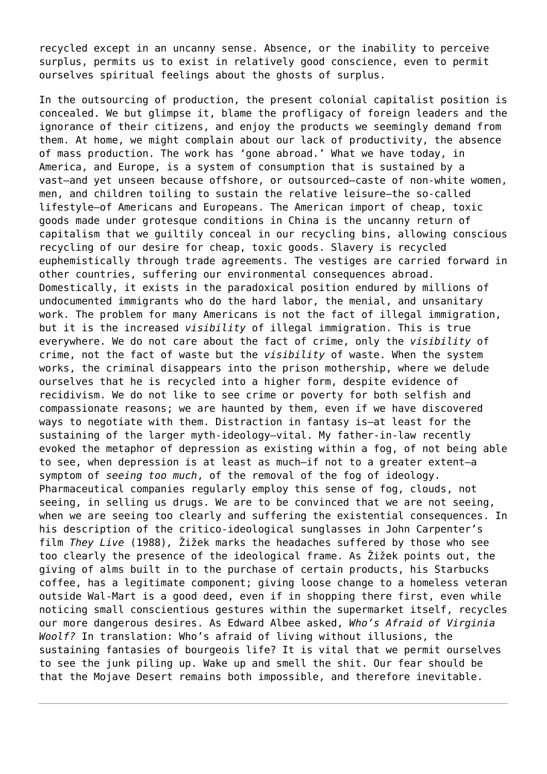recycled except in an uncanny sense. Absence, or the inability to perceive surplus, permits us to exist in relatively good conscience, even to permit ourselves spiritual feelings about the ghosts of surplus.

In the outsourcing of production, the present colonial capitalist position is concealed. We but glimpse it, blame the profligacy of foreign leaders and the ignorance of their citizens, and enjoy the products we seemingly demand from them. At home, we might complain about our lack of productivity, the absence of mass production. The work has 'gone abroad.' What we have today, in America, and Europe, is a system of consumption that is sustained by a vast—and yet unseen because offshore, or outsourced—caste of non-white women, men, and children toiling to sustain the relative leisure—the so-called lifestyle—of Americans and Europeans. The American import of cheap, toxic goods made under grotesque conditions in China is the uncanny return of capitalism that we guiltily conceal in our recycling bins, allowing conscious recycling of our desire for cheap, toxic goods. Slavery is recycled euphemistically through trade agreements. The vestiges are carried forward in other countries, suffering our environmental consequences abroad. Domestically, it exists in the paradoxical position endured by millions of undocumented immigrants who do the hard labor, the menial, and unsanitary work. The problem for many Americans is not the fact of illegal immigration, but it is the increased *visibility* of illegal immigration. This is true everywhere. We do not care about the fact of crime, only the *visibility* of crime, not the fact of waste but the *visibility* of waste. When the system works, the criminal disappears into the prison mothership, where we delude ourselves that he is recycled into a higher form, despite evidence of recidivism. We do not like to see crime or poverty for both selfish and compassionate reasons; we are haunted by them, even if we have discovered ways to negotiate with them. Distraction in fantasy is—at least for the sustaining of the larger myth-ideology—vital. My father-in-law recently evoked the metaphor of depression as existing within a fog, of not being able to see, when depression is at least as much—if not to a greater extent—a symptom of *seeing too much*, of the removal of the fog of ideology. Pharmaceutical companies regularly employ this sense of fog, clouds, not seeing, in selling us drugs. We are to be convinced that we are not seeing, when we are seeing too clearly and suffering the existential consequences. In his description of the critico-ideological sunglasses in John Carpenter's film *They Live* (1988)*,* Žižek marks the headaches suffered by those who see too clearly the presence of the ideological frame. As Žižek points out, the giving of alms built in to the purchase of certain products, his Starbucks coffee, has a legitimate component; giving loose change to a homeless veteran outside Wal-Mart is a good deed, even if in shopping there first, even while noticing small conscientious gestures within the supermarket itself, recycles our more dangerous desires. As Edward Albee asked, *Who's Afraid of Virginia Woolf?* In translation: Who's afraid of living without illusions, the sustaining fantasies of bourgeois life? It is vital that we permit ourselves to see the junk piling up. Wake up and smell the shit. Our fear should be that the Mojave Desert remains both impossible, and therefore inevitable.